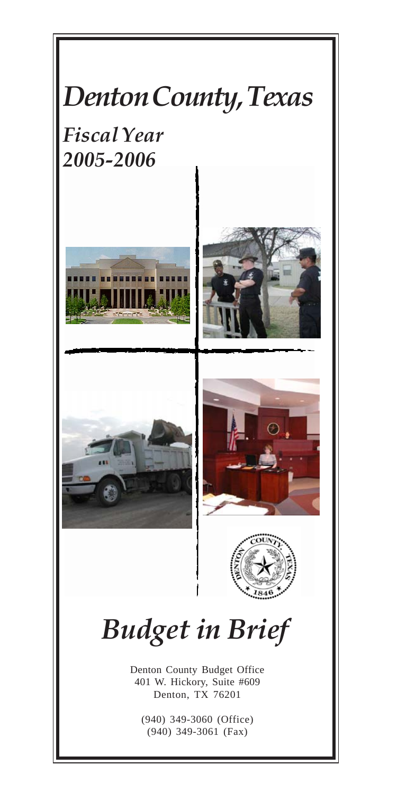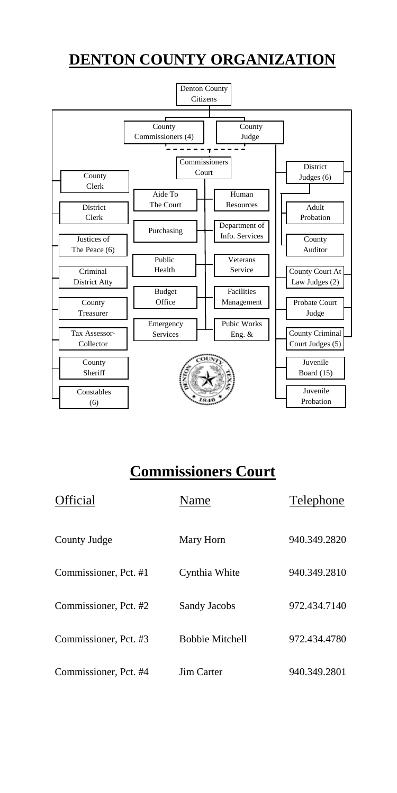# **DENTON COUNTY ORGANIZATION**



## **Commissioners Court**

| Official              | Name                   | Telephone    |
|-----------------------|------------------------|--------------|
| County Judge          | Mary Horn              | 940.349.2820 |
| Commissioner, Pct. #1 | Cynthia White          | 940.349.2810 |
| Commissioner, Pct. #2 | Sandy Jacobs           | 972.434.7140 |
| Commissioner, Pct. #3 | <b>Bobbie Mitchell</b> | 972.434.4780 |
| Commissioner, Pct. #4 | Jim Carter             | 940.349.2801 |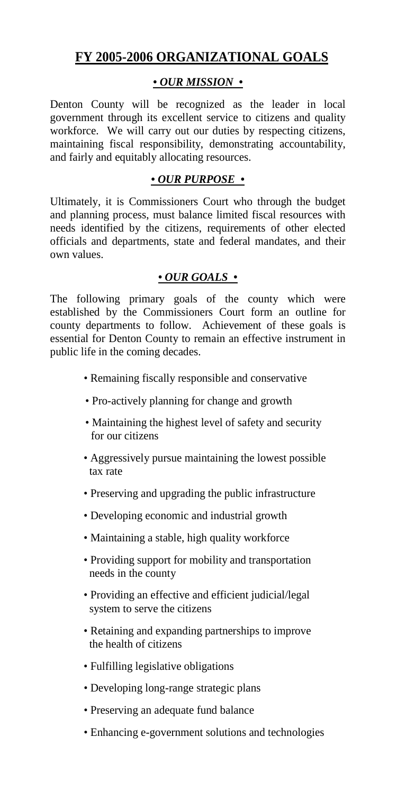### **FY 2005-2006 ORGANIZATIONAL GOALS**

#### *• OUR MISSION •*

Denton County will be recognized as the leader in local government through its excellent service to citizens and quality workforce. We will carry out our duties by respecting citizens, maintaining fiscal responsibility, demonstrating accountability, and fairly and equitably allocating resources.

#### *• OUR PURPOSE •*

Ultimately, it is Commissioners Court who through the budget and planning process, must balance limited fiscal resources with needs identified by the citizens, requirements of other elected officials and departments, state and federal mandates, and their own values.

#### *• OUR GOALS •*

The following primary goals of the county which were established by the Commissioners Court form an outline for county departments to follow. Achievement of these goals is essential for Denton County to remain an effective instrument in public life in the coming decades.

- *•* Remaining fiscally responsible and conservative
- Pro-actively planning for change and growth
- Maintaining the highest level of safety and security for our citizens
- Aggressively pursue maintaining the lowest possible tax rate
- Preserving and upgrading the public infrastructure
- Developing economic and industrial growth
- Maintaining a stable, high quality workforce
- Providing support for mobility and transportation needs in the county
- Providing an effective and efficient judicial/legal system to serve the citizens
- Retaining and expanding partnerships to improve the health of citizens
- Fulfilling legislative obligations
- Developing long-range strategic plans
- *•* Preserving an adequate fund balance
- *•* Enhancing e-government solutions and technologies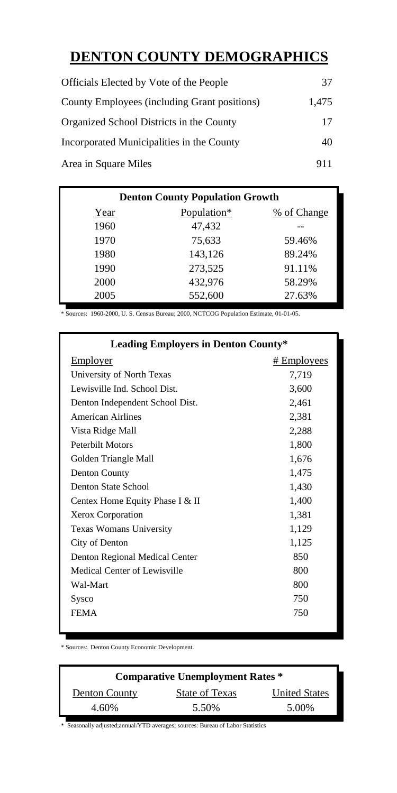## **DENTON COUNTY DEMOGRAPHICS**

| Officials Elected by Vote of the People      | 37    |
|----------------------------------------------|-------|
| County Employees (including Grant positions) | 1.475 |
| Organized School Districts in the County     | 17    |
| Incorporated Municipalities in the County    | 40    |
| Area in Square Miles                         | 911   |

| <b>Denton County Population Growth</b> |             |             |  |  |  |
|----------------------------------------|-------------|-------------|--|--|--|
| Year                                   | Population* | % of Change |  |  |  |
| 1960                                   | 47,432      |             |  |  |  |
| 1970                                   | 75,633      | 59.46%      |  |  |  |
| 1980                                   | 143.126     | 89.24%      |  |  |  |
| 1990                                   | 273.525     | 91.11%      |  |  |  |
| 2000                                   | 432.976     | 58.29%      |  |  |  |
| 2005                                   | 552,600     | 27.63%      |  |  |  |

\* Sources: 1960-2000, U. S. Census Bureau; 2000, NCTCOG Population Estimate, 01-01-05.

| <b>Leading Employers in Denton County*</b> |             |  |  |  |
|--------------------------------------------|-------------|--|--|--|
| Employer                                   | # Employees |  |  |  |
| University of North Texas                  | 7,719       |  |  |  |
| Lewisville Ind. School Dist.               | 3,600       |  |  |  |
| Denton Independent School Dist.            | 2,461       |  |  |  |
| <b>American Airlines</b>                   | 2,381       |  |  |  |
| Vista Ridge Mall                           | 2,288       |  |  |  |
| <b>Peterbilt Motors</b>                    | 1,800       |  |  |  |
| Golden Triangle Mall                       | 1,676       |  |  |  |
| Denton County                              | 1,475       |  |  |  |
| Denton State School                        | 1,430       |  |  |  |
| Centex Home Equity Phase I & II            | 1,400       |  |  |  |
| Xerox Corporation                          | 1,381       |  |  |  |
| Texas Womans University                    | 1,129       |  |  |  |
| City of Denton                             | 1,125       |  |  |  |
| Denton Regional Medical Center             | 850         |  |  |  |
| Medical Center of Lewisville               | 800         |  |  |  |
| Wal-Mart                                   | 800         |  |  |  |
| Sysco                                      | 750         |  |  |  |
| <b>FEMA</b>                                | 750         |  |  |  |
|                                            |             |  |  |  |

\* Sources: Denton County Economic Development.

| <b>Comparative Unemployment Rates *</b> |                |                      |  |  |
|-----------------------------------------|----------------|----------------------|--|--|
| Denton County                           | State of Texas | <b>United States</b> |  |  |
| 4.60%                                   | 5.50%          | 5.00%                |  |  |

\* Seasonally adjusted;annual/YTD averages; sources: Bureau of Labor Statistics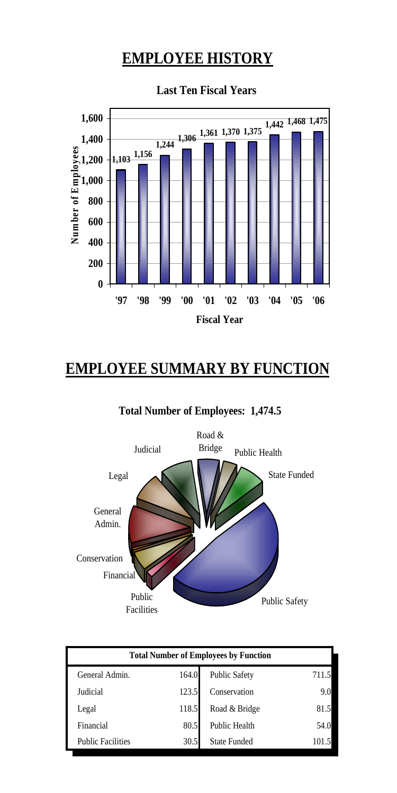# **EMPLOYEE HISTORY**



**Last Ten Fiscal Years**

# **EMPLOYEE SUMMARY BY FUNCTION**



**Total Number of Employees: 1,474.5**

| <b>Total Number of Employees by Function</b> |       |                     |       |  |
|----------------------------------------------|-------|---------------------|-------|--|
| General Admin.                               | 164.0 | Public Safety       | 711.5 |  |
| Judicial                                     | 123.5 | Conservation        | 9.0   |  |
| Legal                                        | 118.5 | Road & Bridge       | 81.5  |  |
| Financial                                    | 80.5  | Public Health       | 54.0  |  |
| <b>Public Facilities</b>                     | 30.5  | <b>State Funded</b> | 101.5 |  |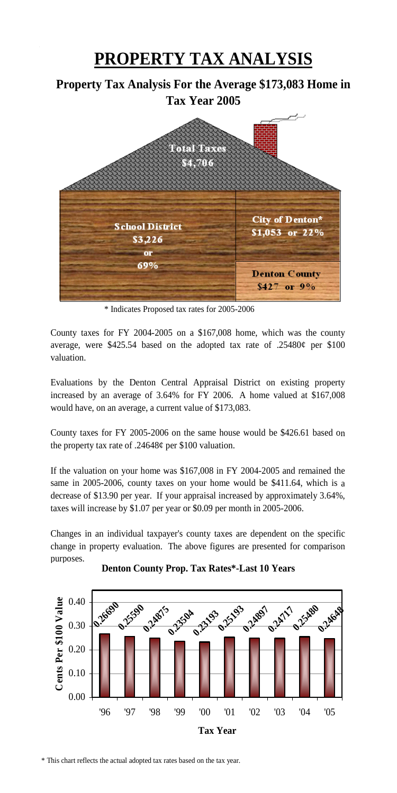# **PROPERTY TAX ANALYSIS**

### **Property Tax Analysis For the Average \$173,083 Home in Tax Year 2005**



\* Indicates Proposed tax rates for 2005-2006

County taxes for FY 2004-2005 on a \$167,008 home, which was the county average, were \$425.54 based on the adopted tax rate of  $.25480¢$  per \$100 valuation.

Evaluations by the Denton Central Appraisal District on existing property increased by an average of 3.64% for FY 2006. A home valued at \$167,008 would have, on an average, a current value of \$173,083.

County taxes for FY 2005-2006 on the same house would be \$426.61 based on the property tax rate of .24648¢ per \$100 valuation.

If the valuation on your home was \$167,008 in FY 2004-2005 and remained the same in 2005-2006, county taxes on your home would be \$411.64, which is a decrease of \$13.90 per year. If your appraisal increased by approximately 3.64%, taxes will increase by \$1.07 per year or \$0.09 per month in 2005-2006.

Changes in an individual taxpayer's county taxes are dependent on the specific change in property evaluation. The above figures are presented for comparison purposes.



#### **Denton County Prop. Tax Rates\*-Last 10 Years**

\* This chart reflects the actual adopted tax rates based on the tax year.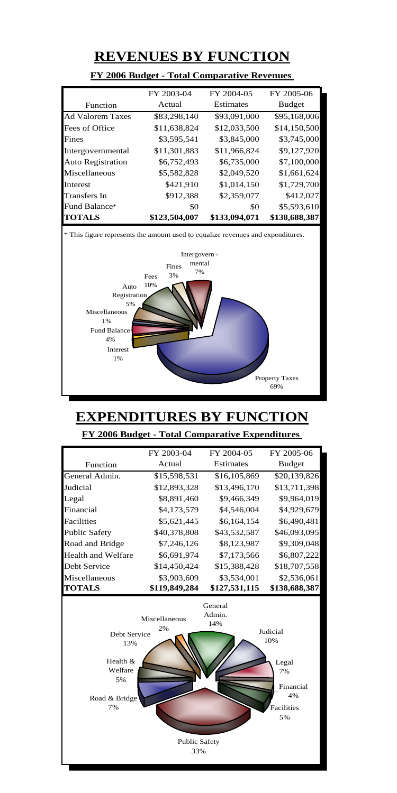## **REVENUES BY FUNCTION**

|                          | FY 2003-04    | FY 2004-05    | FY 2005-06    |  |
|--------------------------|---------------|---------------|---------------|--|
| Function                 | Actual        | Estimates     | <b>Budget</b> |  |
| <b>Ad Valorem Taxes</b>  | \$83,298,140  | \$93,091,000  | \$95,168,006  |  |
| Fees of Office           | \$11,638,824  | \$12,033,500  | \$14,150,500  |  |
| Fines                    | \$3,595,541   | \$3,845,000   | \$3,745,000   |  |
| Intergovernmental        | \$11,301,883  | \$11.966.824  | \$9,127,920   |  |
| <b>Auto Registration</b> | \$6,752,493   | \$6,735,000   | \$7,100,000   |  |
| Miscellaneous            | \$5,582,828   | \$2,049.520   | \$1,661,624   |  |
| <b>Interest</b>          | \$421,910     | \$1,014,150   | \$1,729,700   |  |
| <b>Transfers</b> In      | \$912,388     | \$2,359,077   | \$412,027     |  |
| Fund Balance*            | \$0           | \$0           | \$5,593,610   |  |
| <b>TOTALS</b>            | \$123,504,007 | \$133,094,071 | \$138,688,387 |  |

#### **FY 2006 Budget - Total Comparative Revenues**



# **EXPENDITURES BY FUNCTION**

**FY 2006 Budget - Total Comparative Expenditures** 

|                                                                                                                                                                                                                   | FY 2003-04                  | FY 2004-05       | FY 2005-06    |  |  |
|-------------------------------------------------------------------------------------------------------------------------------------------------------------------------------------------------------------------|-----------------------------|------------------|---------------|--|--|
| Function                                                                                                                                                                                                          | Actual                      | <b>Estimates</b> | <b>Budget</b> |  |  |
| General Admin.                                                                                                                                                                                                    | \$15,598,531                | \$16,105,869     | \$20,139,826  |  |  |
| Judicial                                                                                                                                                                                                          | \$12,893,328                | \$13,496,170     | \$13,711,398  |  |  |
| Legal                                                                                                                                                                                                             | \$8,891,460                 | \$9,466,349      | \$9,964,019   |  |  |
| Financial                                                                                                                                                                                                         | \$4,173,579                 | \$4,546,004      | \$4,929,679   |  |  |
| Facilities                                                                                                                                                                                                        | \$5,621,445                 | \$6,164,154      | \$6,490,481   |  |  |
| Public Safety                                                                                                                                                                                                     | \$40,378,808                | \$43,532,587     | \$46,093,095  |  |  |
| Road and Bridge                                                                                                                                                                                                   | \$7,246,126                 | \$8,123,987      | \$9,309,048   |  |  |
| Health and Welfare                                                                                                                                                                                                | \$6,691,974                 | \$7,173,566      | \$6,807,222   |  |  |
| Debt Service                                                                                                                                                                                                      | \$14,450,424                | \$15,388,428     | \$18,707,558  |  |  |
| Miscellaneous                                                                                                                                                                                                     | \$3,903,609                 | \$3,534,001      | \$2,536,061   |  |  |
| <b>TOTALS</b>                                                                                                                                                                                                     | \$119,849,284               | \$127,531,115    | \$138,688,387 |  |  |
| General<br>Admin.<br>Miscellaneous<br>14%<br>2%<br><b>Judicial</b><br>Debt Service<br>10%<br>13%<br>Health &<br>Legal<br>Welfare<br>7%<br>5%<br>Financial<br>4%<br>Road & Bridge<br>7%<br><b>Facilities</b><br>5% |                             |                  |               |  |  |
|                                                                                                                                                                                                                   | <b>Public Safety</b><br>33% |                  |               |  |  |
|                                                                                                                                                                                                                   |                             |                  |               |  |  |